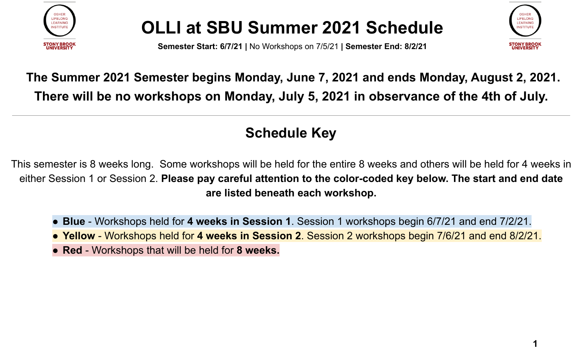

**Semester Start: 6/7/21 |** No Workshops on 7/5/21 **| Semester End: 8/2/21**



### **The Summer 2021 Semester begins Monday, June 7, 2021 and ends Monday, August 2, 2021. There will be no workshops on Monday, July 5, 2021 in observance of the 4th of July.**

#### **Schedule Key**

This semester is 8 weeks long. Some workshops will be held for the entire 8 weeks and others will be held for 4 weeks in either Session 1 or Session 2. **Please pay careful attention to the color-coded key below. The start and end date are listed beneath each workshop.**

- **Blue** Workshops held for **4 weeks in Session 1**. Session 1 workshops begin 6/7/21 and end 7/2/21.
- **Yellow** Workshops held for **4 weeks in Session 2**. Session 2 workshops begin 7/6/21 and end 8/2/21.
- **Red** Workshops that will be held for **8 weeks.**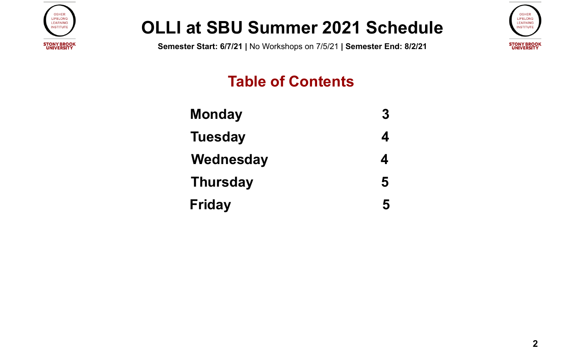

**Semester Start: 6/7/21 |** No Workshops on 7/5/21 **| Semester End: 8/2/21**



### **Table of Contents**

| <b>Monday</b>   | 3 |
|-----------------|---|
| <b>Tuesday</b>  | 4 |
| Wednesday       | 4 |
| <b>Thursday</b> | 5 |
| <b>Friday</b>   | 5 |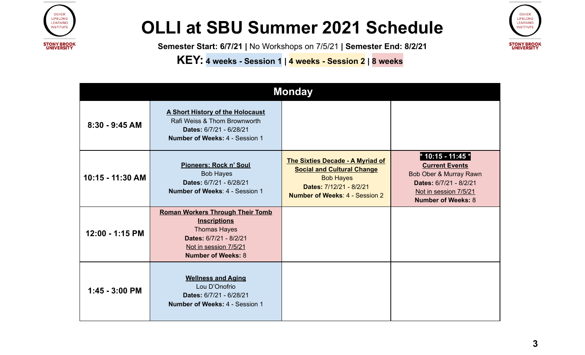

**Semester Start: 6/7/21 |** No Workshops on 7/5/21 **| Semester End: 8/2/21**

**KEY: <sup>4</sup> weeks - Session <sup>1</sup> <sup>|</sup> <sup>4</sup> weeks - Session <sup>2</sup> <sup>|</sup> <sup>8</sup> weeks**

| <b>OSHER</b><br><b>LIFELONG</b><br><b>LEARNING</b><br><b>INSTITUTE</b> |  |  |
|------------------------------------------------------------------------|--|--|
| <b>STONY BROOK</b><br>UNIVERSITY                                       |  |  |

<span id="page-2-0"></span>

| <b>Monday</b>    |                                                                                                                                                                       |                                                                                                                                                                      |                                                                                                                                                      |  |
|------------------|-----------------------------------------------------------------------------------------------------------------------------------------------------------------------|----------------------------------------------------------------------------------------------------------------------------------------------------------------------|------------------------------------------------------------------------------------------------------------------------------------------------------|--|
| $8:30 - 9:45$ AM | <b>A Short History of the Holocaust</b><br>Rafi Weiss & Thom Brownworth<br>Dates: 6/7/21 - 6/28/21<br><b>Number of Weeks: 4 - Session 1</b>                           |                                                                                                                                                                      |                                                                                                                                                      |  |
| 10:15 - 11:30 AM | Pioneers: Rock n' Soul<br><b>Bob Hayes</b><br>Dates: 6/7/21 - 6/28/21<br>Number of Weeks: 4 - Session 1                                                               | <b>The Sixties Decade - A Myriad of</b><br><b>Social and Cultural Change</b><br><b>Bob Hayes</b><br>Dates: 7/12/21 - 8/2/21<br><b>Number of Weeks: 4 - Session 2</b> | * 10:15 - 11:45 *<br><b>Current Events</b><br>Bob Ober & Murray Rawn<br>Dates: 6/7/21 - 8/2/21<br>Not in session 7/5/21<br><b>Number of Weeks: 8</b> |  |
| 12:00 - 1:15 PM  | <b>Roman Workers Through Their Tomb</b><br><b>Inscriptions</b><br><b>Thomas Hayes</b><br>Dates: 6/7/21 - 8/2/21<br>Not in session 7/5/21<br><b>Number of Weeks: 8</b> |                                                                                                                                                                      |                                                                                                                                                      |  |
| $1:45 - 3:00$ PM | <b>Wellness and Aging</b><br>Lou D'Onofrio<br>Dates: 6/7/21 - 6/28/21<br>Number of Weeks: 4 - Session 1                                                               |                                                                                                                                                                      |                                                                                                                                                      |  |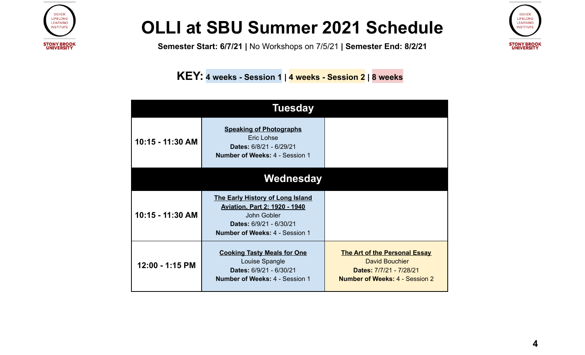

**Semester Start: 6/7/21 |** No Workshops on 7/5/21 **| Semester End: 8/2/21**

**KEY: <sup>4</sup> weeks - Session <sup>1</sup> <sup>|</sup> <sup>4</sup> weeks - Session <sup>2</sup> <sup>|</sup> <sup>8</sup> weeks**

<span id="page-3-1"></span><span id="page-3-0"></span>

|                  | <b>Tuesday</b>                                                                                                                                              |                                                                                                                                   |  |  |
|------------------|-------------------------------------------------------------------------------------------------------------------------------------------------------------|-----------------------------------------------------------------------------------------------------------------------------------|--|--|
| 10:15 - 11:30 AM | <b>Speaking of Photographs</b><br>Eric Lohse<br>Dates: 6/8/21 - 6/29/21<br><b>Number of Weeks: 4 - Session 1</b>                                            |                                                                                                                                   |  |  |
| Wednesday        |                                                                                                                                                             |                                                                                                                                   |  |  |
| 10:15 - 11:30 AM | The Early History of Long Island<br><b>Aviation, Part 2: 1920 - 1940</b><br>John Gobler<br>Dates: 6/9/21 - 6/30/21<br><b>Number of Weeks: 4 - Session 1</b> |                                                                                                                                   |  |  |
| 12:00 - 1:15 PM  | <b>Cooking Tasty Meals for One</b><br>Louise Spangle<br>Dates: 6/9/21 - 6/30/21<br><b>Number of Weeks: 4 - Session 1</b>                                    | <b>The Art of the Personal Essay</b><br><b>David Bouchier</b><br>Dates: 7/7/21 - 7/28/21<br><b>Number of Weeks: 4 - Session 2</b> |  |  |